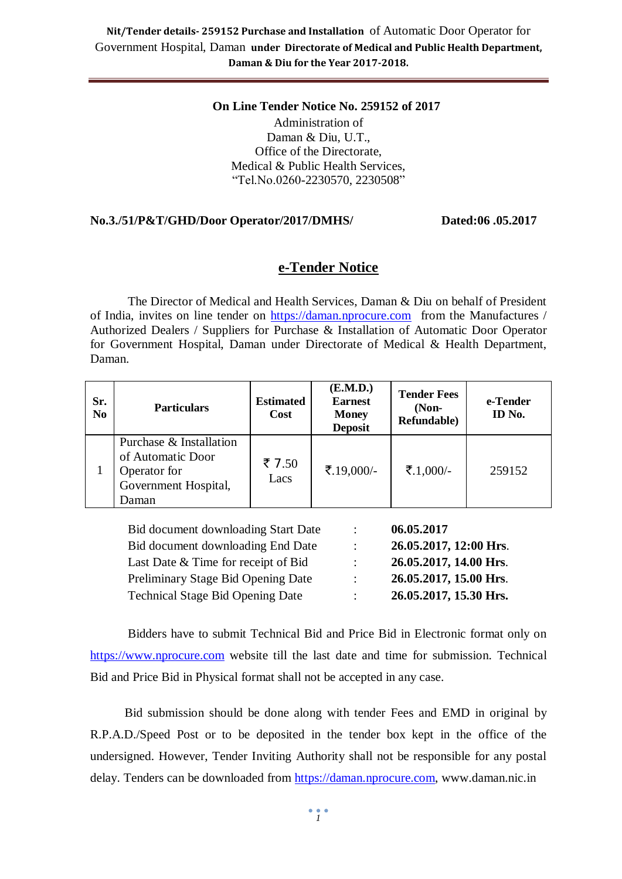#### **On Line Tender Notice No. 259152 of 2017** Administration of Daman & Diu, U.T., Office of the Directorate, Medical & Public Health Services, "Tel.No.0260-2230570, 2230508"

#### **No.3./51/P&T/GHD/Door Operator/2017/DMHS/ Dated:06 .05.2017**

## **e-Tender Notice**

The Director of Medical and Health Services, Daman & Diu on behalf of President of India, invites on line tender on [https://daman.nprocure.com](https://daman.nprocure.com/) from the Manufactures / Authorized Dealers / Suppliers for Purchase & Installation of Automatic Door Operator for Government Hospital, Daman under Directorate of Medical & Health Department, Daman.

| Sr.<br>N <sub>0</sub>                             | <b>Particulars</b>                                                                            | <b>Estimated</b><br><b>Cost</b> | ( <b>E.M.D.</b> )<br><b>Earnest</b><br><b>Money</b><br><b>Deposit</b> | <b>Tender Fees</b><br>$(Non-$<br>Refundable) | e-Tender<br>ID No. |
|---------------------------------------------------|-----------------------------------------------------------------------------------------------|---------------------------------|-----------------------------------------------------------------------|----------------------------------------------|--------------------|
| 1                                                 | Purchase & Installation<br>of Automatic Door<br>Operator for<br>Government Hospital,<br>Daman | ₹ 7.50<br>Lacs                  | ₹.19,000/-                                                            | ₹.1,000/-                                    | 259152             |
| 06.05.2017<br>Bid document downloading Start Date |                                                                                               |                                 |                                                                       |                                              |                    |

| ÷                    | 26.05.2017, 12:00 Hrs. |
|----------------------|------------------------|
| $\ddot{\phantom{a}}$ | 26.05.2017, 14.00 Hrs. |
| $\bullet$ .          | 26.05.2017, 15.00 Hrs. |
| $\bullet$ .          | 26.05.2017, 15.30 Hrs. |
|                      |                        |

Bidders have to submit Technical Bid and Price Bid in Electronic format only on [https://www.nprocure.com](https://www.nprocure.com/) website till the last date and time for submission. Technical Bid and Price Bid in Physical format shall not be accepted in any case.

 Bid submission should be done along with tender Fees and EMD in original by R.P.A.D./Speed Post or to be deposited in the tender box kept in the office of the undersigned. However, Tender Inviting Authority shall not be responsible for any postal delay. Tenders can be downloaded from [https://daman.nprocure.com,](https://www.nprocure.com/) www.daman.nic.in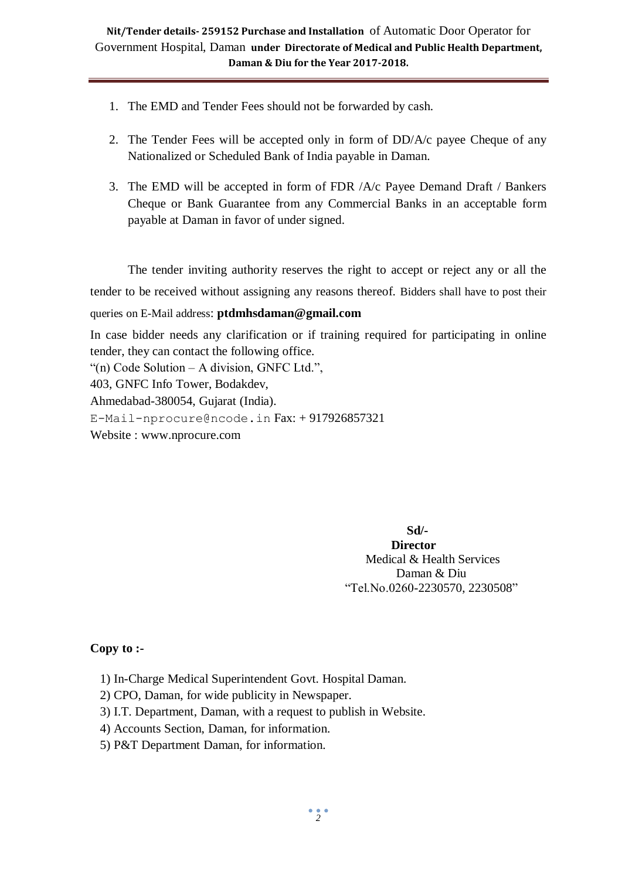- 1. The EMD and Tender Fees should not be forwarded by cash.
- 2. The Tender Fees will be accepted only in form of DD/A/c payee Cheque of any Nationalized or Scheduled Bank of India payable in Daman.
- 3. The EMD will be accepted in form of FDR /A/c Payee Demand Draft / Bankers Cheque or Bank Guarantee from any Commercial Banks in an acceptable form payable at Daman in favor of under signed.

The tender inviting authority reserves the right to accept or reject any or all the tender to be received without assigning any reasons thereof. Bidders shall have to post their queries on E-Mail address: **ptdmhsdaman@gmail.com**

In case bidder needs any clarification or if training required for participating in online tender, they can contact the following office.

"(n) Code Solution – A division, GNFC Ltd.",

403, GNFC Info Tower, Bodakdev,

Ahmedabad-380054, Gujarat (India).

[E-Mail-nprocure@ncode.in](mailto:E-Mail-nprocure@ncode.in) Fax: + 917926857321

Website : [www.nprocure.com](http://www.nprocure.com/)

 **Sd/- Director** Medical & Health Services Daman & Diu "Tel.No.0260-2230570, 2230508"

#### **Copy to :-**

1) In-Charge Medical Superintendent Govt. Hospital Daman.

2) CPO, Daman, for wide publicity in Newspaper.

3) I.T. Department, Daman, with a request to publish in Website.

4) Accounts Section, Daman, for information.

5) P&T Department Daman, for information.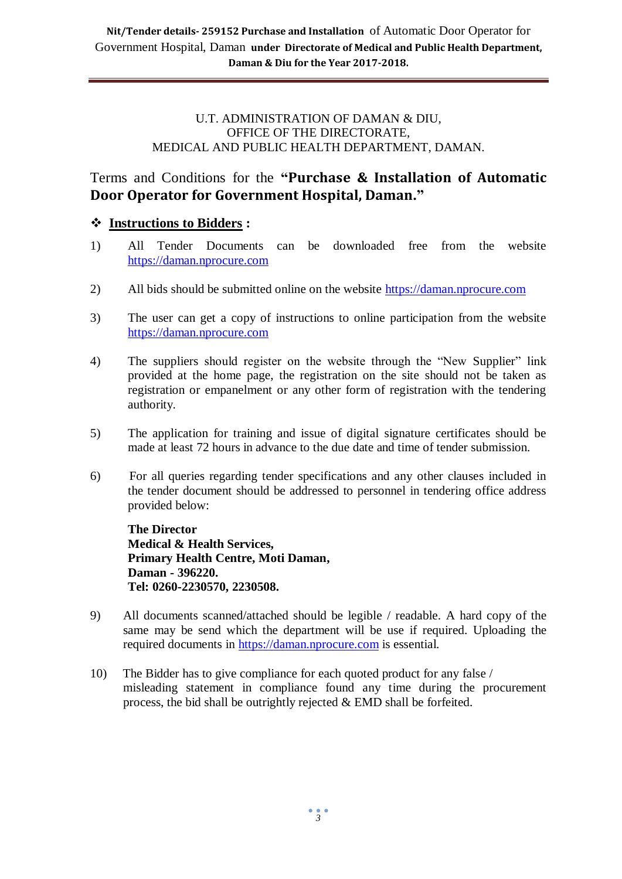#### U.T. ADMINISTRATION OF DAMAN & DIU, OFFICE OF THE DIRECTORATE, MEDICAL AND PUBLIC HEALTH DEPARTMENT, DAMAN.

Terms and Conditions for the **"Purchase & Installation of Automatic Door Operator for Government Hospital, Daman."** 

## **Instructions to Bidders :**

- 1) All Tender Documents can be downloaded free from the website [https://daman.nprocure.com](https://www.nprocure.com/)
- 2) All bids should be submitted online on the website [https://daman.nprocure.com](https://www.nprocure.com/)
- 3) The user can get a copy of instructions to online participation from the website [https://daman.nprocure.com](https://www.nprocure.com/)
- 4) The suppliers should register on the website through the "New Supplier" link provided at the home page, the registration on the site should not be taken as registration or empanelment or any other form of registration with the tendering authority.
- 5) The application for training and issue of digital signature certificates should be made at least 72 hours in advance to the due date and time of tender submission.
- 6) For all queries regarding tender specifications and any other clauses included in the tender document should be addressed to personnel in tendering office address provided below:

**The Director Medical & Health Services, Primary Health Centre, Moti Daman, Daman - 396220. Tel: 0260-2230570, 2230508.**

- 9) All documents scanned/attached should be legible / readable. A hard copy of the same may be send which the department will be use if required. Uploading the required documents in [https://daman.nprocure.com](https://www.nprocure.com/) is essential.
- 10) The Bidder has to give compliance for each quoted product for any false / misleading statement in compliance found any time during the procurement process, the bid shall be outrightly rejected & EMD shall be forfeited.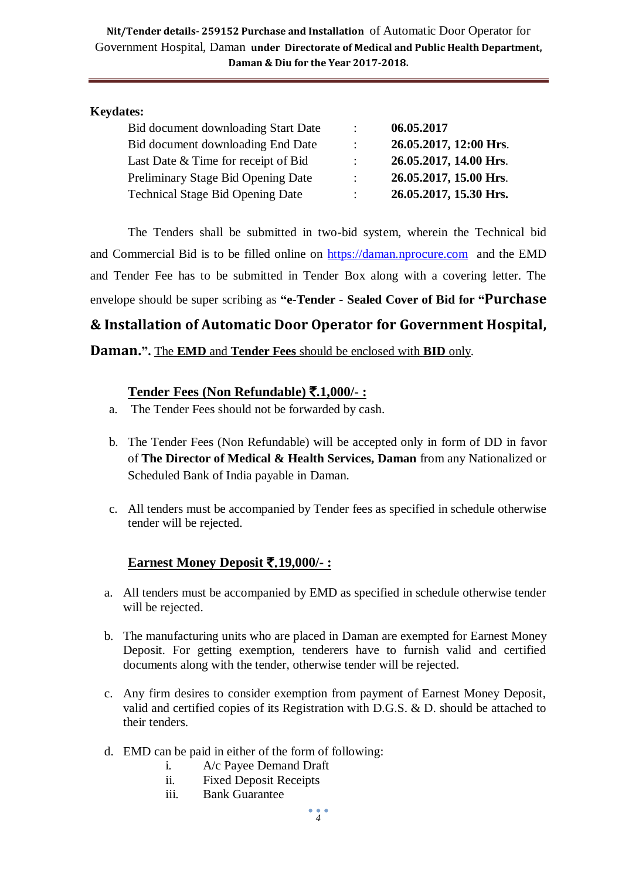#### **Keydates:**

| Bid document downloading Start Date     | $\ddot{\phantom{a}}$      | 06.05.2017             |
|-----------------------------------------|---------------------------|------------------------|
| Bid document downloading End Date       | $\mathbb{R}^{\mathbb{Z}}$ | 26.05.2017, 12:00 Hrs. |
| Last Date & Time for receipt of Bid     | $\mathbb{R}^{\mathbb{Z}}$ | 26.05.2017, 14.00 Hrs. |
| Preliminary Stage Bid Opening Date      | $\mathbb{R}^{\mathbb{Z}}$ | 26.05.2017, 15.00 Hrs. |
| <b>Technical Stage Bid Opening Date</b> | $\mathbb{R}^{\mathbb{Z}}$ | 26.05.2017, 15.30 Hrs. |

The Tenders shall be submitted in two-bid system, wherein the Technical bid and Commercial Bid is to be filled online on [https://daman.nprocure.com](https://www.nprocure.com/) and the EMD and Tender Fee has to be submitted in Tender Box along with a covering letter. The envelope should be super scribing as **"e-Tender - Sealed Cover of Bid for "Purchase** 

**& Installation of Automatic Door Operator for Government Hospital,** 

**Daman.".** The **EMD** and **Tender Fees** should be enclosed with **BID** only.

#### **Tender Fees (Non Refundable)** `**.1,000/- :**

- a. The Tender Fees should not be forwarded by cash.
- b. The Tender Fees (Non Refundable) will be accepted only in form of DD in favor of **The Director of Medical & Health Services, Daman** from any Nationalized or Scheduled Bank of India payable in Daman.
- c. All tenders must be accompanied by Tender fees as specified in schedule otherwise tender will be rejected.

## **Earnest Money Deposit** `.**19,000/- :**

- a. All tenders must be accompanied by EMD as specified in schedule otherwise tender will be rejected.
- b. The manufacturing units who are placed in Daman are exempted for Earnest Money Deposit. For getting exemption, tenderers have to furnish valid and certified documents along with the tender, otherwise tender will be rejected.
- c. Any firm desires to consider exemption from payment of Earnest Money Deposit, valid and certified copies of its Registration with D.G.S. & D. should be attached to their tenders.
- d. EMD can be paid in either of the form of following:
	- i. A/c Payee Demand Draft
	- ii. Fixed Deposit Receipts
	- iii. Bank Guarantee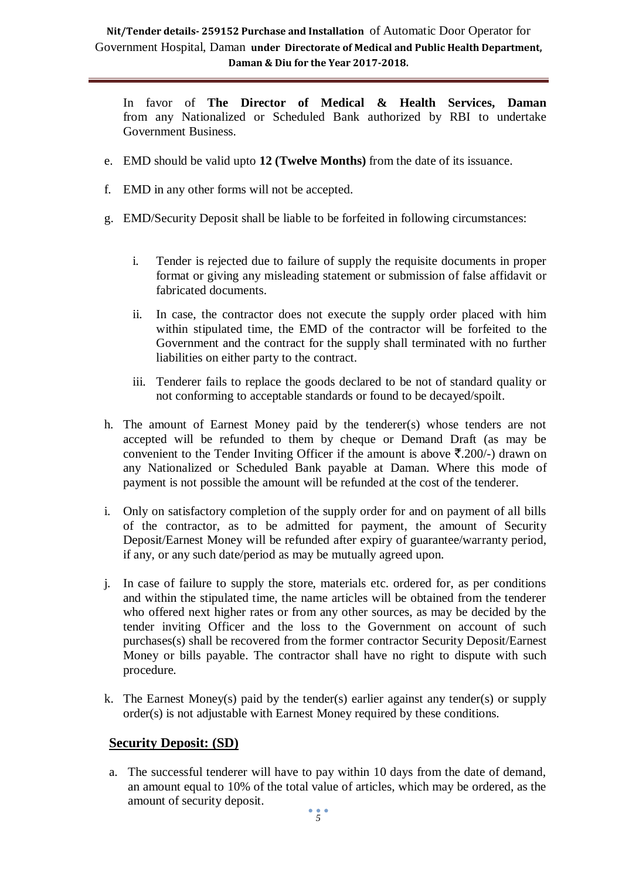In favor of **The Director of Medical & Health Services, Daman**  from any Nationalized or Scheduled Bank authorized by RBI to undertake Government Business.

- e. EMD should be valid upto **12 (Twelve Months)** from the date of its issuance.
- f. EMD in any other forms will not be accepted.
- g. EMD/Security Deposit shall be liable to be forfeited in following circumstances:
	- i. Tender is rejected due to failure of supply the requisite documents in proper format or giving any misleading statement or submission of false affidavit or fabricated documents.
	- ii. In case, the contractor does not execute the supply order placed with him within stipulated time, the EMD of the contractor will be forfeited to the Government and the contract for the supply shall terminated with no further liabilities on either party to the contract.
	- iii. Tenderer fails to replace the goods declared to be not of standard quality or not conforming to acceptable standards or found to be decayed/spoilt.
- h. The amount of Earnest Money paid by the tenderer(s) whose tenders are not accepted will be refunded to them by cheque or Demand Draft (as may be convenient to the Tender Inviting Officer if the amount is above  $\bar{\mathcal{F}}$ . 200/-) drawn on any Nationalized or Scheduled Bank payable at Daman. Where this mode of payment is not possible the amount will be refunded at the cost of the tenderer.
- i. Only on satisfactory completion of the supply order for and on payment of all bills of the contractor, as to be admitted for payment, the amount of Security Deposit/Earnest Money will be refunded after expiry of guarantee/warranty period, if any, or any such date/period as may be mutually agreed upon.
- j. In case of failure to supply the store, materials etc. ordered for, as per conditions and within the stipulated time, the name articles will be obtained from the tenderer who offered next higher rates or from any other sources, as may be decided by the tender inviting Officer and the loss to the Government on account of such purchases(s) shall be recovered from the former contractor Security Deposit/Earnest Money or bills payable. The contractor shall have no right to dispute with such procedure.
- k. The Earnest Money(s) paid by the tender(s) earlier against any tender(s) or supply order(s) is not adjustable with Earnest Money required by these conditions.

## **Security Deposit: (SD)**

a. The successful tenderer will have to pay within 10 days from the date of demand, an amount equal to 10% of the total value of articles, which may be ordered, as the amount of security deposit.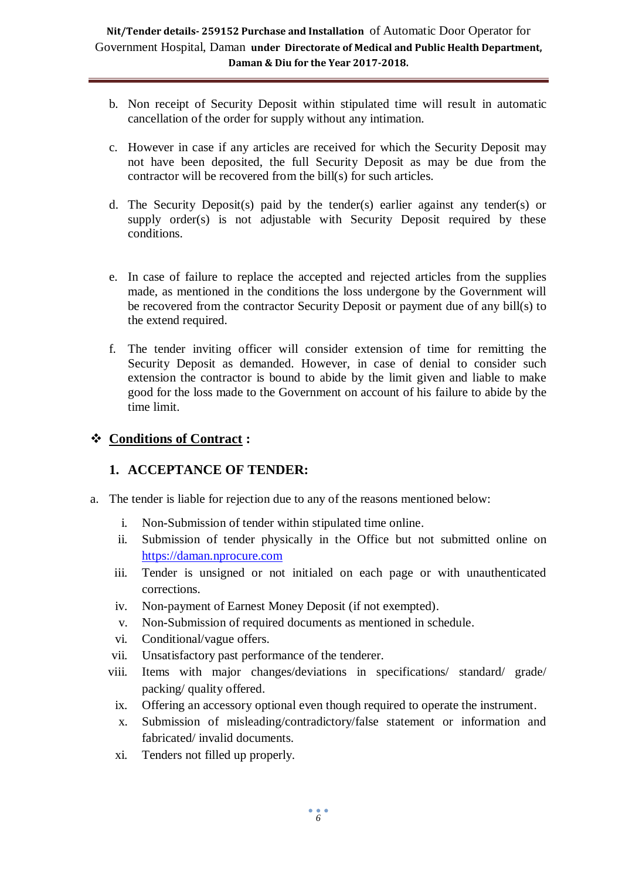- b. Non receipt of Security Deposit within stipulated time will result in automatic cancellation of the order for supply without any intimation.
- c. However in case if any articles are received for which the Security Deposit may not have been deposited, the full Security Deposit as may be due from the contractor will be recovered from the bill(s) for such articles.
- d. The Security Deposit(s) paid by the tender(s) earlier against any tender(s) or supply order(s) is not adjustable with Security Deposit required by these conditions.
- e. In case of failure to replace the accepted and rejected articles from the supplies made, as mentioned in the conditions the loss undergone by the Government will be recovered from the contractor Security Deposit or payment due of any bill(s) to the extend required.
- f. The tender inviting officer will consider extension of time for remitting the Security Deposit as demanded. However, in case of denial to consider such extension the contractor is bound to abide by the limit given and liable to make good for the loss made to the Government on account of his failure to abide by the time limit.

## **Conditions of Contract :**

## **1. ACCEPTANCE OF TENDER:**

- a. The tender is liable for rejection due to any of the reasons mentioned below:
	- i. Non-Submission of tender within stipulated time online.
	- ii. Submission of tender physically in the Office but not submitted online on [https://daman.nprocure.com](https://www.nprocure.com/)
	- iii. Tender is unsigned or not initialed on each page or with unauthenticated corrections.
	- iv. Non-payment of Earnest Money Deposit (if not exempted).
	- v. Non-Submission of required documents as mentioned in schedule.
	- vi. Conditional/vague offers.
	- vii. Unsatisfactory past performance of the tenderer.
	- viii. Items with major changes/deviations in specifications/ standard/ grade/ packing/ quality offered.
		- ix. Offering an accessory optional even though required to operate the instrument.
		- x. Submission of misleading/contradictory/false statement or information and fabricated/ invalid documents.
		- xi. Tenders not filled up properly.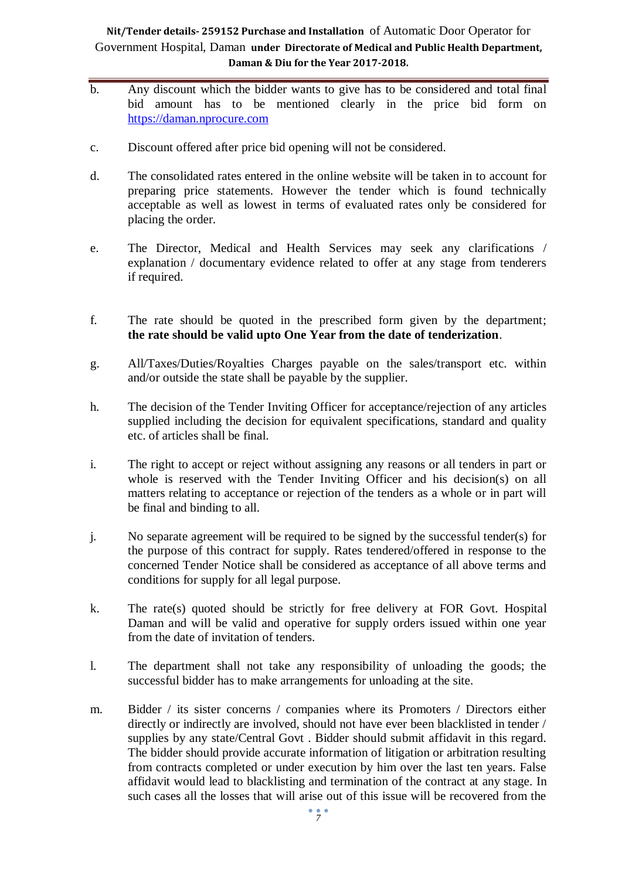- b. Any discount which the bidder wants to give has to be considered and total final bid amount has to be mentioned clearly in the price bid form on [https://daman.nprocure.com](https://www.nprocure.com/)
- c. Discount offered after price bid opening will not be considered.
- d. The consolidated rates entered in the online website will be taken in to account for preparing price statements. However the tender which is found technically acceptable as well as lowest in terms of evaluated rates only be considered for placing the order.
- e. The Director, Medical and Health Services may seek any clarifications / explanation / documentary evidence related to offer at any stage from tenderers if required.
- f. The rate should be quoted in the prescribed form given by the department; **the rate should be valid upto One Year from the date of tenderization**.
- g. All/Taxes/Duties/Royalties Charges payable on the sales/transport etc. within and/or outside the state shall be payable by the supplier.
- h. The decision of the Tender Inviting Officer for acceptance/rejection of any articles supplied including the decision for equivalent specifications, standard and quality etc. of articles shall be final.
- i. The right to accept or reject without assigning any reasons or all tenders in part or whole is reserved with the Tender Inviting Officer and his decision(s) on all matters relating to acceptance or rejection of the tenders as a whole or in part will be final and binding to all.
- j. No separate agreement will be required to be signed by the successful tender(s) for the purpose of this contract for supply. Rates tendered/offered in response to the concerned Tender Notice shall be considered as acceptance of all above terms and conditions for supply for all legal purpose.
- k. The rate(s) quoted should be strictly for free delivery at FOR Govt. Hospital Daman and will be valid and operative for supply orders issued within one year from the date of invitation of tenders.
- l. The department shall not take any responsibility of unloading the goods; the successful bidder has to make arrangements for unloading at the site.
- m. Bidder / its sister concerns / companies where its Promoters / Directors either directly or indirectly are involved, should not have ever been blacklisted in tender / supplies by any state/Central Govt . Bidder should submit affidavit in this regard. The bidder should provide accurate information of litigation or arbitration resulting from contracts completed or under execution by him over the last ten years. False affidavit would lead to blacklisting and termination of the contract at any stage. In such cases all the losses that will arise out of this issue will be recovered from the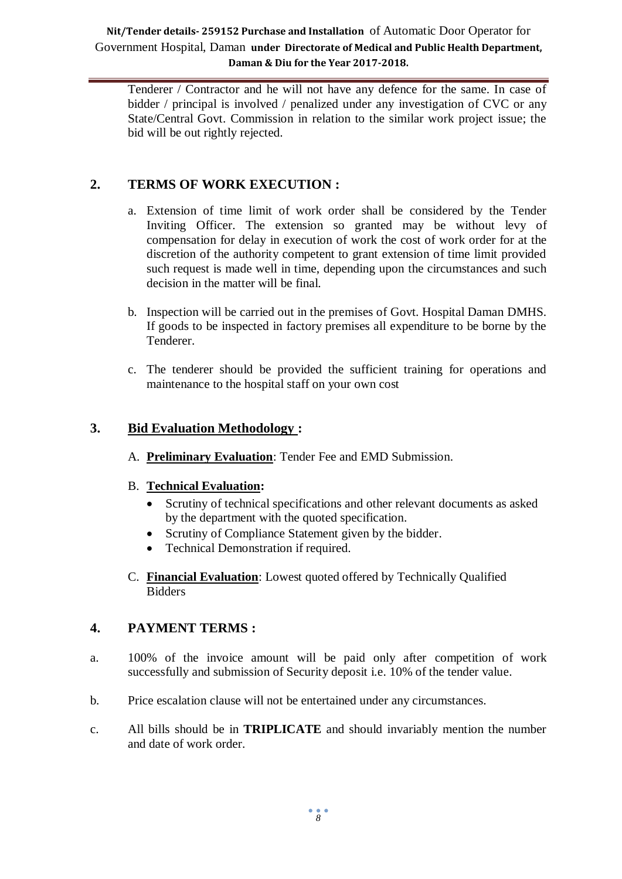Tenderer / Contractor and he will not have any defence for the same. In case of bidder / principal is involved / penalized under any investigation of CVC or any State/Central Govt. Commission in relation to the similar work project issue; the bid will be out rightly rejected.

## **2. TERMS OF WORK EXECUTION :**

- a. Extension of time limit of work order shall be considered by the Tender Inviting Officer. The extension so granted may be without levy of compensation for delay in execution of work the cost of work order for at the discretion of the authority competent to grant extension of time limit provided such request is made well in time, depending upon the circumstances and such decision in the matter will be final.
- b. Inspection will be carried out in the premises of Govt. Hospital Daman DMHS. If goods to be inspected in factory premises all expenditure to be borne by the Tenderer.
- c. The tenderer should be provided the sufficient training for operations and maintenance to the hospital staff on your own cost

### **3. Bid Evaluation Methodology :**

A. **Preliminary Evaluation**: Tender Fee and EMD Submission.

#### B. **Technical Evaluation:**

- Scrutiny of technical specifications and other relevant documents as asked by the department with the quoted specification.
- Scrutiny of Compliance Statement given by the bidder.
- Technical Demonstration if required.
- C. **Financial Evaluation**: Lowest quoted offered by Technically Qualified **Bidders**

#### **4. PAYMENT TERMS :**

- a. 100% of the invoice amount will be paid only after competition of work successfully and submission of Security deposit i.e. 10% of the tender value.
- b. Price escalation clause will not be entertained under any circumstances.
- c. All bills should be in **TRIPLICATE** and should invariably mention the number and date of work order.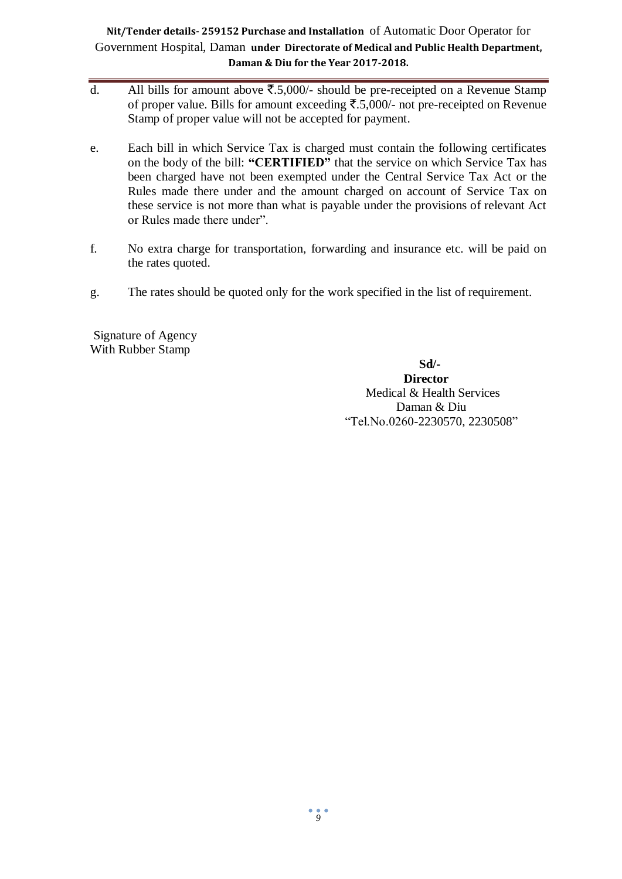- d. All bills for amount above  $\overline{\xi}$ .5,000/- should be pre-receipted on a Revenue Stamp of proper value. Bills for amount exceeding  $\overline{\xi}$ .5,000/- not pre-receipted on Revenue Stamp of proper value will not be accepted for payment.
- e. Each bill in which Service Tax is charged must contain the following certificates on the body of the bill: **"CERTIFIED"** that the service on which Service Tax has been charged have not been exempted under the Central Service Tax Act or the Rules made there under and the amount charged on account of Service Tax on these service is not more than what is payable under the provisions of relevant Act or Rules made there under".
- f. No extra charge for transportation, forwarding and insurance etc. will be paid on the rates quoted.
- g. The rates should be quoted only for the work specified in the list of requirement.

Signature of Agency With Rubber Stamp

## **Sd/-**

 **Director** Medical & Health Services Daman & Diu "Tel.No.0260-2230570, 2230508"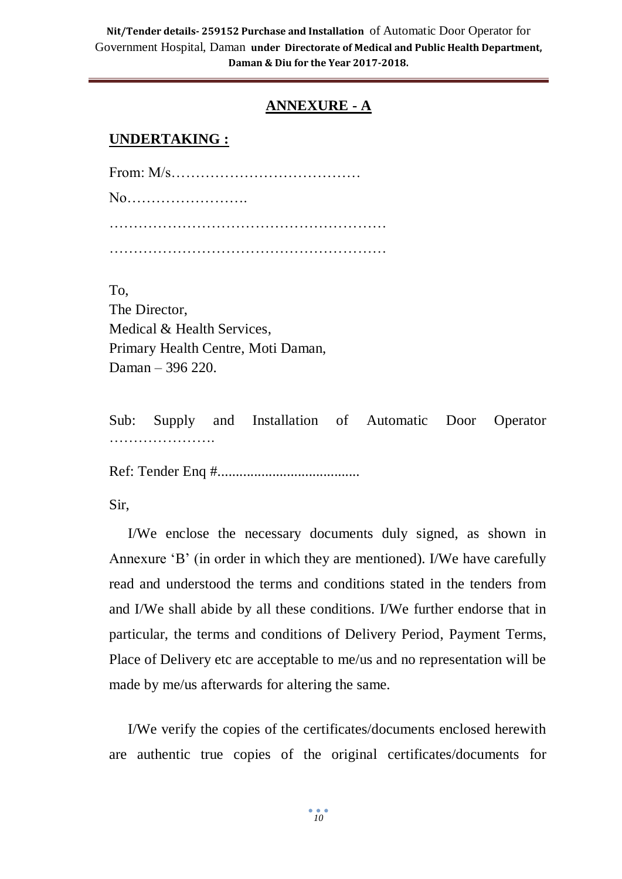## **ANNEXURE - A**

#### **UNDERTAKING :**

From: M/s………………………………… No……………………. ………………………………………………… …………………………………………………

To, The Director, Medical & Health Services, Primary Health Centre, Moti Daman, Daman – 396 220.

Sub: Supply and Installation of Automatic Door Operator ………………….

Ref: Tender Enq #.......................................

Sir,

I/We enclose the necessary documents duly signed, as shown in Annexure 'B' (in order in which they are mentioned). I/We have carefully read and understood the terms and conditions stated in the tenders from and I/We shall abide by all these conditions. I/We further endorse that in particular, the terms and conditions of Delivery Period, Payment Terms, Place of Delivery etc are acceptable to me/us and no representation will be made by me/us afterwards for altering the same.

I/We verify the copies of the certificates/documents enclosed herewith are authentic true copies of the original certificates/documents for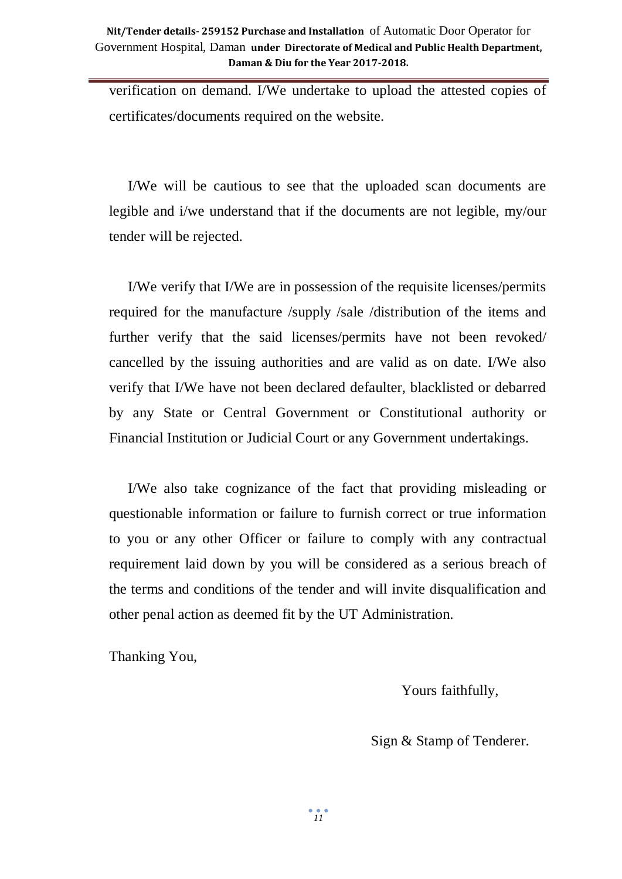verification on demand. I/We undertake to upload the attested copies of certificates/documents required on the website.

I/We will be cautious to see that the uploaded scan documents are legible and i/we understand that if the documents are not legible, my/our tender will be rejected.

I/We verify that I/We are in possession of the requisite licenses/permits required for the manufacture /supply /sale /distribution of the items and further verify that the said licenses/permits have not been revoked/ cancelled by the issuing authorities and are valid as on date. I/We also verify that I/We have not been declared defaulter, blacklisted or debarred by any State or Central Government or Constitutional authority or Financial Institution or Judicial Court or any Government undertakings.

I/We also take cognizance of the fact that providing misleading or questionable information or failure to furnish correct or true information to you or any other Officer or failure to comply with any contractual requirement laid down by you will be considered as a serious breach of the terms and conditions of the tender and will invite disqualification and other penal action as deemed fit by the UT Administration.

Thanking You,

Yours faithfully,

Sign & Stamp of Tenderer.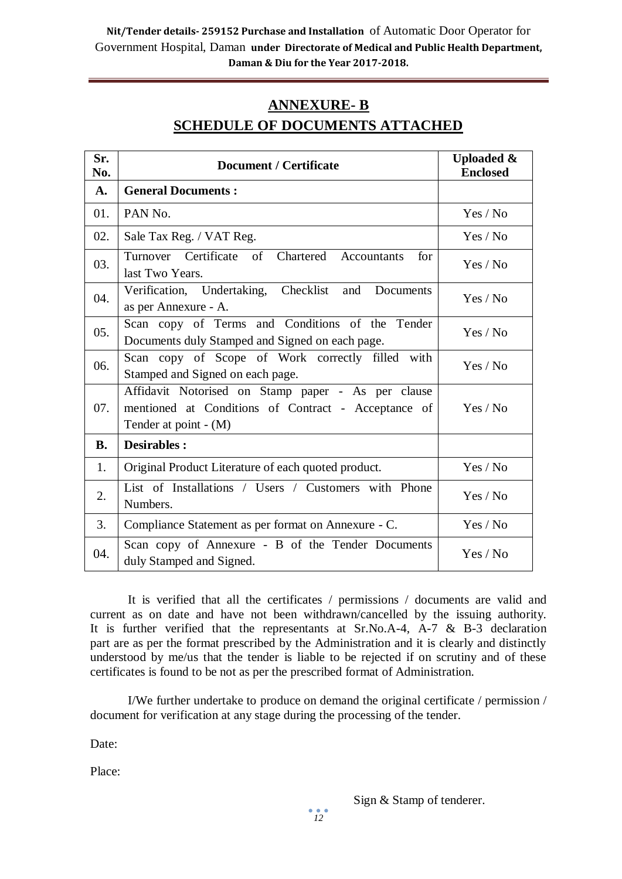# **ANNEXURE- B SCHEDULE OF DOCUMENTS ATTACHED**

| Sr.<br>No. | <b>Document / Certificate</b>                                                                                                      | <b>Uploaded &amp;</b><br><b>Enclosed</b> |  |
|------------|------------------------------------------------------------------------------------------------------------------------------------|------------------------------------------|--|
| A.         | <b>General Documents:</b>                                                                                                          |                                          |  |
| 01.        | PAN No.                                                                                                                            | Yes / No                                 |  |
| 02.        | Sale Tax Reg. / VAT Reg.                                                                                                           | Yes / No                                 |  |
| 03.        | Turnover Certificate of Chartered Accountants<br>for<br>last Two Years.                                                            | Yes / No                                 |  |
| 04.        | Verification, Undertaking, Checklist and<br>Documents<br>as per Annexure - A.                                                      | Yes / No                                 |  |
| 05.        | Scan copy of Terms and Conditions of the Tender<br>Documents duly Stamped and Signed on each page.                                 | Yes / No                                 |  |
| 06.        | Scan copy of Scope of Work correctly filled with<br>Stamped and Signed on each page.                                               | Yes / No                                 |  |
| 07.        | Affidavit Notorised on Stamp paper - As per clause<br>mentioned at Conditions of Contract - Acceptance of<br>Tender at point - (M) | Yes / No                                 |  |
| <b>B.</b>  | <b>Desirables:</b>                                                                                                                 |                                          |  |
| 1.         | Original Product Literature of each quoted product.                                                                                | Yes / No                                 |  |
| 2.         | List of Installations / Users / Customers with Phone<br>Numbers.                                                                   | Yes / No                                 |  |
| 3.         | Compliance Statement as per format on Annexure - C.                                                                                | Yes / No                                 |  |
| 04.        | Scan copy of Annexure - B of the Tender Documents<br>duly Stamped and Signed.                                                      | Yes / No                                 |  |

It is verified that all the certificates / permissions / documents are valid and current as on date and have not been withdrawn/cancelled by the issuing authority. It is further verified that the representants at Sr.No.A-4, A-7 & B-3 declaration part are as per the format prescribed by the Administration and it is clearly and distinctly understood by me/us that the tender is liable to be rejected if on scrutiny and of these certificates is found to be not as per the prescribed format of Administration.

I/We further undertake to produce on demand the original certificate / permission / document for verification at any stage during the processing of the tender.

Date:

Place: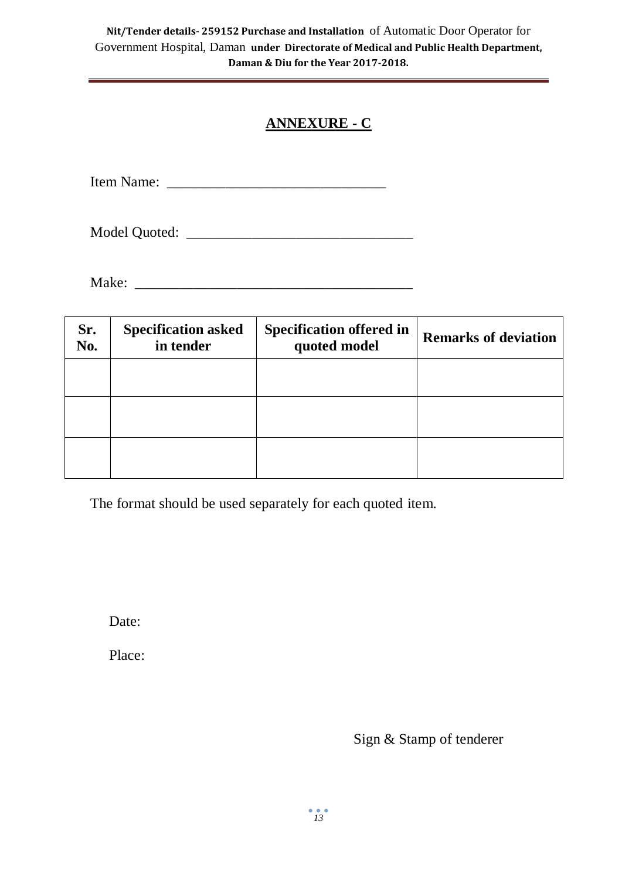# **ANNEXURE - C**

Item Name: \_\_\_\_\_\_\_\_\_\_\_\_\_\_\_\_\_\_\_\_\_\_\_\_\_\_\_\_\_\_

Model Quoted: \_\_\_\_\_\_\_\_\_\_\_\_\_\_\_\_\_\_\_\_\_\_\_\_\_\_\_\_\_\_\_

Make: \_\_\_\_\_\_\_\_\_\_\_\_\_\_\_\_\_\_\_\_\_\_\_\_\_\_\_\_\_\_\_\_\_\_\_\_\_\_

| Sr.<br>No. | <b>Specification asked</b><br>in tender | <b>Specification offered in</b><br>quoted model | <b>Remarks of deviation</b> |
|------------|-----------------------------------------|-------------------------------------------------|-----------------------------|
|            |                                         |                                                 |                             |
|            |                                         |                                                 |                             |
|            |                                         |                                                 |                             |

The format should be used separately for each quoted item.

Date:

Place:

Sign & Stamp of tenderer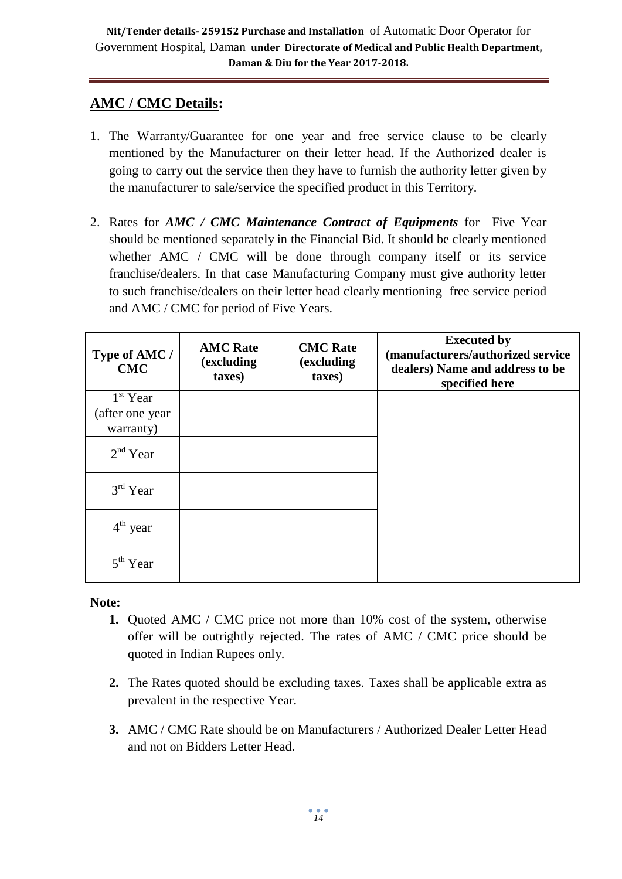# **AMC / CMC Details:**

- 1. The Warranty/Guarantee for one year and free service clause to be clearly mentioned by the Manufacturer on their letter head. If the Authorized dealer is going to carry out the service then they have to furnish the authority letter given by the manufacturer to sale/service the specified product in this Territory.
- 2. Rates for *AMC / CMC Maintenance Contract of Equipments* for Five Year should be mentioned separately in the Financial Bid. It should be clearly mentioned whether AMC / CMC will be done through company itself or its service franchise/dealers. In that case Manufacturing Company must give authority letter to such franchise/dealers on their letter head clearly mentioning free service period and AMC / CMC for period of Five Years.

| Type of AMC /<br><b>CMC</b> | <b>AMC Rate</b><br>(excluding<br>taxes) | <b>CMC</b> Rate<br>(excluding<br>taxes) | <b>Executed by</b><br>(manufacturers/authorized service<br>dealers) Name and address to be<br>specified here |
|-----------------------------|-----------------------------------------|-----------------------------------------|--------------------------------------------------------------------------------------------------------------|
| $1st$ Year                  |                                         |                                         |                                                                                                              |
| (after one year             |                                         |                                         |                                                                                                              |
| warranty)                   |                                         |                                         |                                                                                                              |
| $2nd$ Year                  |                                         |                                         |                                                                                                              |
| $3rd$ Year                  |                                         |                                         |                                                                                                              |
| $4th$ year                  |                                         |                                         |                                                                                                              |
| $5th$ Year                  |                                         |                                         |                                                                                                              |

**Note:**

- **1.** Quoted AMC / CMC price not more than 10% cost of the system, otherwise offer will be outrightly rejected. The rates of AMC / CMC price should be quoted in Indian Rupees only.
- **2.** The Rates quoted should be excluding taxes. Taxes shall be applicable extra as prevalent in the respective Year.
- **3.** AMC / CMC Rate should be on Manufacturers / Authorized Dealer Letter Head and not on Bidders Letter Head.